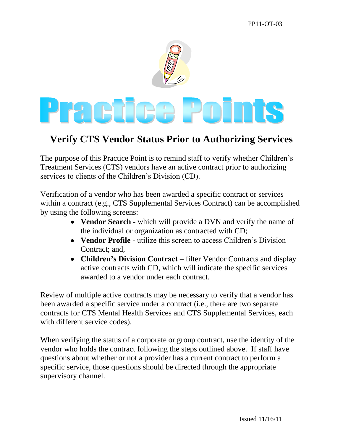

## **Verify CTS Vendor Status Prior to Authorizing Services**

The purpose of this Practice Point is to remind staff to verify whether Children's Treatment Services (CTS) vendors have an active contract prior to authorizing services to clients of the Children's Division (CD).

Verification of a vendor who has been awarded a specific contract or services within a contract (e.g., CTS Supplemental Services Contract) can be accomplished by using the following screens:

- **Vendor Search -** which will provide a DVN and verify the name of the individual or organization as contracted with CD;
- **Vendor Profile -** utilize this screen to access Children's Division Contract; and,
- **Children's Division Contract** filter Vendor Contracts and display active contracts with CD, which will indicate the specific services awarded to a vendor under each contract.

Review of multiple active contracts may be necessary to verify that a vendor has been awarded a specific service under a contract (i.e., there are two separate contracts for CTS Mental Health Services and CTS Supplemental Services, each with different service codes).

When verifying the status of a corporate or group contract, use the identity of the vendor who holds the contract following the steps outlined above. If staff have questions about whether or not a provider has a current contract to perform a specific service, those questions should be directed through the appropriate supervisory channel.